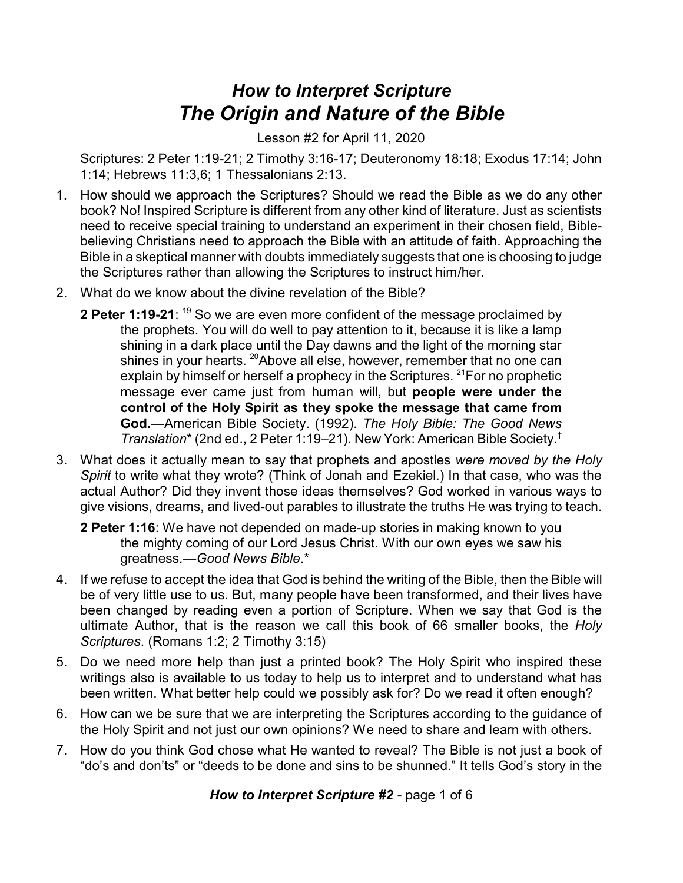## *How to Interpret Scripture The Origin and Nature of the Bible*

Lesson #2 for April 11, 2020

Scriptures: 2 Peter 1:19-21; 2 Timothy 3:16-17; Deuteronomy 18:18; Exodus 17:14; John 1:14; Hebrews 11:3,6; 1 Thessalonians 2:13.

- 1. How should we approach the Scriptures? Should we read the Bible as we do any other book? No! Inspired Scripture is different from any other kind of literature. Just as scientists need to receive special training to understand an experiment in their chosen field, Biblebelieving Christians need to approach the Bible with an attitude of faith. Approaching the Bible in a skeptical manner with doubts immediately suggests that one is choosing to judge the Scriptures rather than allowing the Scriptures to instruct him/her.
- 2. What do we know about the divine revelation of the Bible?
	- **2 Peter 1:19-21**: <sup>19</sup> So we are even more confident of the message proclaimed by the prophets. You will do well to pay attention to it, because it is like a lamp shining in a dark place until the Day dawns and the light of the morning star shines in your hearts. <sup>20</sup>Above all else, however, remember that no one can explain by himself or herself a prophecy in the Scriptures.  $21$  For no prophetic message ever came just from human will, but **people were under the control of the Holy Spirit as they spoke the message that came from God.**—American Bible Society. (1992). *The Holy Bible: The Good News Translation*\* (2nd ed., 2 Peter 1:19–21). New York: American Bible Society. †
- 3. What does it actually mean to say that prophets and apostles *were moved by the Holy Spirit* to write what they wrote? (Think of Jonah and Ezekiel.) In that case, who was the actual Author? Did they invent those ideas themselves? God worked in various ways to give visions, dreams, and lived-out parables to illustrate the truths He was trying to teach.

**2 Peter 1:16**: We have not depended on made-up stories in making known to you the mighty coming of our Lord Jesus Christ. With our own eyes we saw his greatness.—*Good News Bible*.\*

- 4. If we refuse to accept the idea that God is behind the writing of the Bible, then the Bible will be of very little use to us. But, many people have been transformed, and their lives have been changed by reading even a portion of Scripture. When we say that God is the ultimate Author, that is the reason we call this book of 66 smaller books, the *Holy Scriptures*. (Romans 1:2; 2 Timothy 3:15)
- 5. Do we need more help than just a printed book? The Holy Spirit who inspired these writings also is available to us today to help us to interpret and to understand what has been written. What better help could we possibly ask for? Do we read it often enough?
- 6. How can we be sure that we are interpreting the Scriptures according to the guidance of the Holy Spirit and not just our own opinions? We need to share and learn with others.
- 7. How do you think God chose what He wanted to reveal? The Bible is not just a book of "do's and don'ts" or "deeds to be done and sins to be shunned." It tells God's story in the

*How to Interpret Scripture #2* - page 1 of 6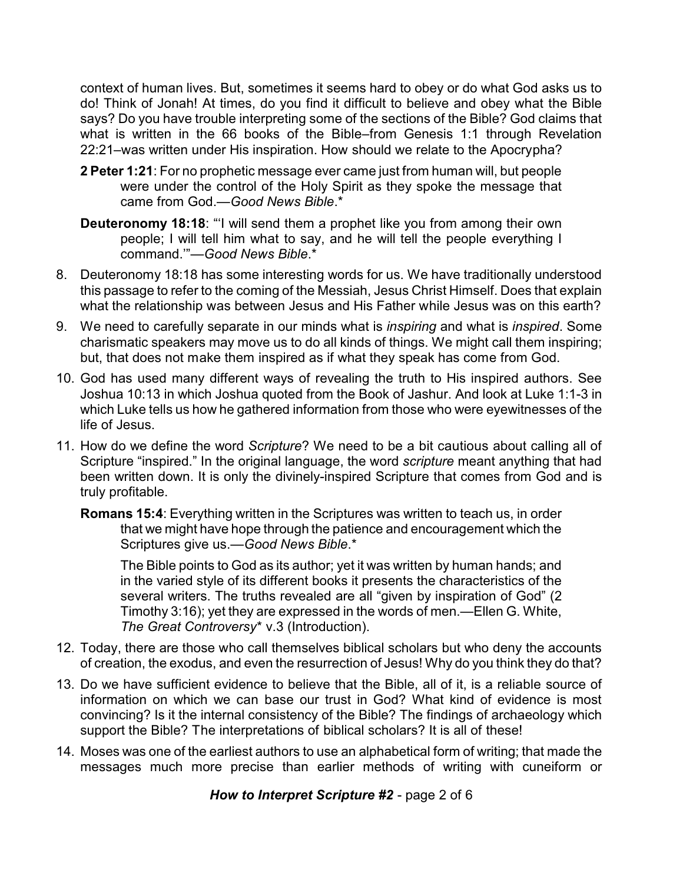context of human lives. But, sometimes it seems hard to obey or do what God asks us to do! Think of Jonah! At times, do you find it difficult to believe and obey what the Bible says? Do you have trouble interpreting some of the sections of the Bible? God claims that what is written in the 66 books of the Bible–from Genesis 1:1 through Revelation 22:21–was written under His inspiration. How should we relate to the Apocrypha?

- **2 Peter 1:21**: For no prophetic message ever came just from human will, but people were under the control of the Holy Spirit as they spoke the message that came from God.—*Good News Bible*.\*
- **Deuteronomy 18:18:** "I will send them a prophet like you from among their own people; I will tell him what to say, and he will tell the people everything I command.'"—*Good News Bible*.\*
- 8. Deuteronomy 18:18 has some interesting words for us. We have traditionally understood this passage to refer to the coming of the Messiah, Jesus Christ Himself. Does that explain what the relationship was between Jesus and His Father while Jesus was on this earth?
- 9. We need to carefully separate in our minds what is *inspiring* and what is *inspired*. Some charismatic speakers may move us to do all kinds of things. We might call them inspiring; but, that does not make them inspired as if what they speak has come from God.
- 10. God has used many different ways of revealing the truth to His inspired authors. See Joshua 10:13 in which Joshua quoted from the Book of Jashur. And look at Luke 1:1-3 in which Luke tells us how he gathered information from those who were eyewitnesses of the life of Jesus.
- 11. How do we define the word *Scripture*? We need to be a bit cautious about calling all of Scripture "inspired." In the original language, the word *scripture* meant anything that had been written down. It is only the divinely-inspired Scripture that comes from God and is truly profitable.

**Romans 15:4**: Everything written in the Scriptures was written to teach us, in order that we might have hope through the patience and encouragement which the Scriptures give us.—*Good News Bible*.\*

The Bible points to God as its author; yet it was written by human hands; and in the varied style of its different books it presents the characteristics of the several writers. The truths revealed are all "given by inspiration of God" (2 Timothy 3:16); yet they are expressed in the words of men.—Ellen G. White, *The Great Controversy*\* v.3 (Introduction).

- 12. Today, there are those who call themselves biblical scholars but who deny the accounts of creation, the exodus, and even the resurrection of Jesus! Why do you think they do that?
- 13. Do we have sufficient evidence to believe that the Bible, all of it, is a reliable source of information on which we can base our trust in God? What kind of evidence is most convincing? Is it the internal consistency of the Bible? The findings of archaeology which support the Bible? The interpretations of biblical scholars? It is all of these!
- 14. Moses was one of the earliest authors to use an alphabetical form of writing; that made the messages much more precise than earlier methods of writing with cuneiform or

*How to Interpret Scripture #2* - page 2 of 6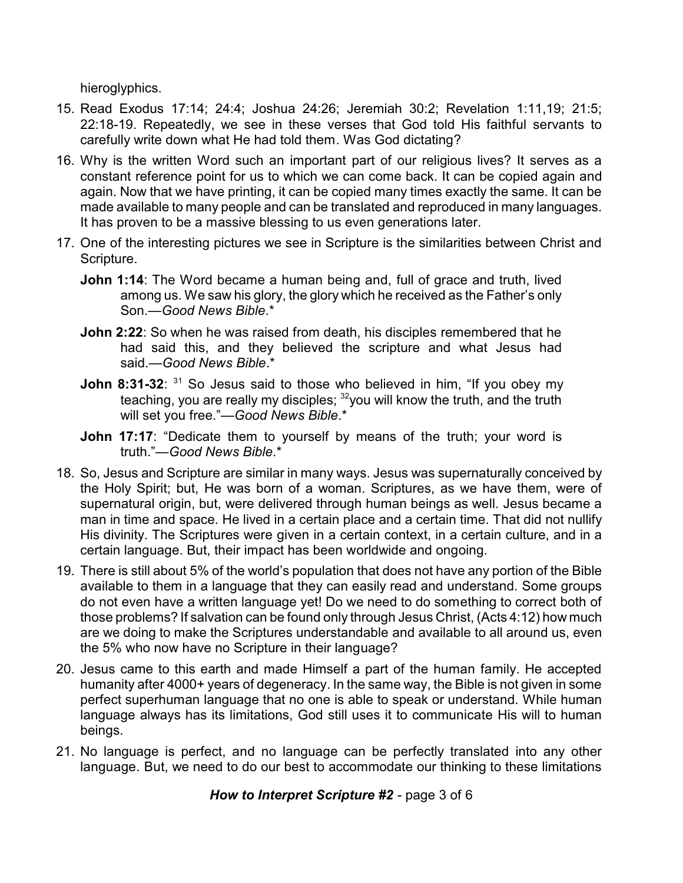hieroglyphics.

- 15. Read Exodus 17:14; 24:4; Joshua 24:26; Jeremiah 30:2; Revelation 1:11,19; 21:5; 22:18-19. Repeatedly, we see in these verses that God told His faithful servants to carefully write down what He had told them. Was God dictating?
- 16. Why is the written Word such an important part of our religious lives? It serves as a constant reference point for us to which we can come back. It can be copied again and again. Now that we have printing, it can be copied many times exactly the same. It can be made available to many people and can be translated and reproduced in many languages. It has proven to be a massive blessing to us even generations later.
- 17. One of the interesting pictures we see in Scripture is the similarities between Christ and Scripture.
	- **John 1:14**: The Word became a human being and, full of grace and truth, lived among us. We saw his glory, the glory which he received as the Father's only Son.—*Good News Bible*.\*
	- **John 2:22**: So when he was raised from death, his disciples remembered that he had said this, and they believed the scripture and what Jesus had said.—*Good News Bible*.\*
	- **John 8:31-32**: <sup>31</sup> So Jesus said to those who believed in him, "If you obey my teaching, you are really my disciples;  $^{32}$ you will know the truth, and the truth will set you free."—*Good News Bible*.\*
	- **John 17:17:** "Dedicate them to yourself by means of the truth; your word is truth."—*Good News Bible*.\*
- 18. So, Jesus and Scripture are similar in many ways. Jesus was supernaturally conceived by the Holy Spirit; but, He was born of a woman. Scriptures, as we have them, were of supernatural origin, but, were delivered through human beings as well. Jesus became a man in time and space. He lived in a certain place and a certain time. That did not nullify His divinity. The Scriptures were given in a certain context, in a certain culture, and in a certain language. But, their impact has been worldwide and ongoing.
- 19. There is still about 5% of the world's population that does not have any portion of the Bible available to them in a language that they can easily read and understand. Some groups do not even have a written language yet! Do we need to do something to correct both of those problems? If salvation can be found only through Jesus Christ, (Acts 4:12) how much are we doing to make the Scriptures understandable and available to all around us, even the 5% who now have no Scripture in their language?
- 20. Jesus came to this earth and made Himself a part of the human family. He accepted humanity after 4000+ years of degeneracy. In the same way, the Bible is not given in some perfect superhuman language that no one is able to speak or understand. While human language always has its limitations, God still uses it to communicate His will to human beings.
- 21. No language is perfect, and no language can be perfectly translated into any other language. But, we need to do our best to accommodate our thinking to these limitations

*How to Interpret Scripture #2* - page 3 of 6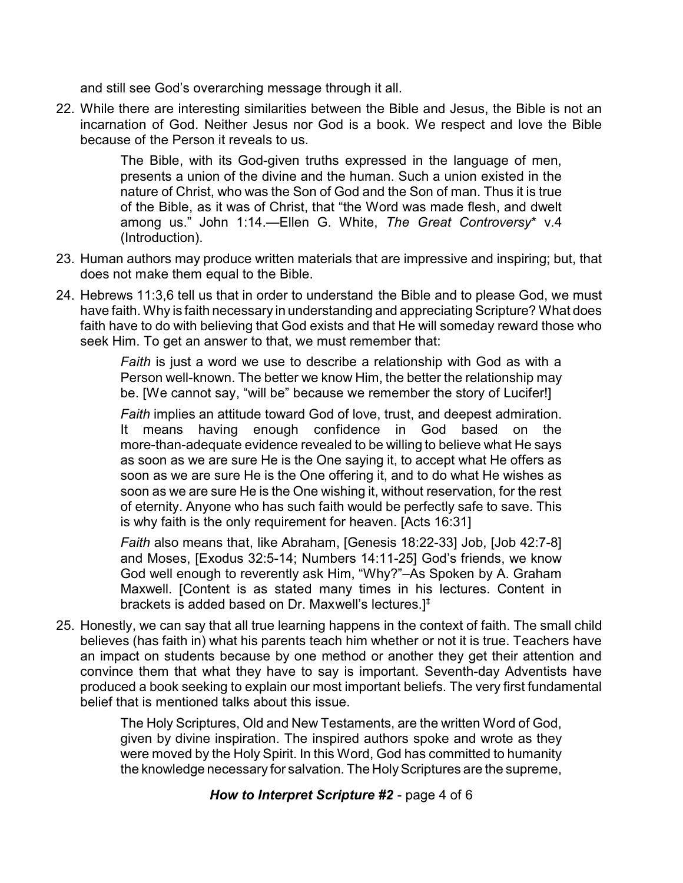and still see God's overarching message through it all.

22. While there are interesting similarities between the Bible and Jesus, the Bible is not an incarnation of God. Neither Jesus nor God is a book. We respect and love the Bible because of the Person it reveals to us.

> The Bible, with its God-given truths expressed in the language of men, presents a union of the divine and the human. Such a union existed in the nature of Christ, who was the Son of God and the Son of man. Thus it is true of the Bible, as it was of Christ, that "the Word was made flesh, and dwelt among us." John 1:14.—Ellen G. White, *The Great Controversy*\* v.4 (Introduction).

- 23. Human authors may produce written materials that are impressive and inspiring; but, that does not make them equal to the Bible.
- 24. Hebrews 11:3,6 tell us that in order to understand the Bible and to please God, we must have faith. Why is faith necessary in understanding and appreciating Scripture? What does faith have to do with believing that God exists and that He will someday reward those who seek Him. To get an answer to that, we must remember that:

*Faith* is just a word we use to describe a relationship with God as with a Person well-known. The better we know Him, the better the relationship may be. [We cannot say, "will be" because we remember the story of Lucifer!]

*Faith* implies an attitude toward God of love, trust, and deepest admiration. It means having enough confidence in God based on the more-than-adequate evidence revealed to be willing to believe what He says as soon as we are sure He is the One saying it, to accept what He offers as soon as we are sure He is the One offering it, and to do what He wishes as soon as we are sure He is the One wishing it, without reservation, for the rest of eternity. Anyone who has such faith would be perfectly safe to save. This is why faith is the only requirement for heaven. [Acts 16:31]

*Faith* also means that, like Abraham, [Genesis 18:22-33] Job, [Job 42:7-8] and Moses, [Exodus 32:5-14; Numbers 14:11-25] God's friends, we know God well enough to reverently ask Him, "Why?"–As Spoken by A. Graham Maxwell. [Content is as stated many times in his lectures. Content in brackets is added based on Dr. Maxwell's lectures.]‡

25. Honestly, we can say that all true learning happens in the context of faith. The small child believes (has faith in) what his parents teach him whether or not it is true. Teachers have an impact on students because by one method or another they get their attention and convince them that what they have to say is important. Seventh-day Adventists have produced a book seeking to explain our most important beliefs. The very first fundamental belief that is mentioned talks about this issue.

> The Holy Scriptures, Old and New Testaments, are the written Word of God, given by divine inspiration. The inspired authors spoke and wrote as they were moved by the Holy Spirit. In this Word, God has committed to humanity the knowledge necessary for salvation. The Holy Scriptures are the supreme,

> > *How to Interpret Scripture #2* - page 4 of 6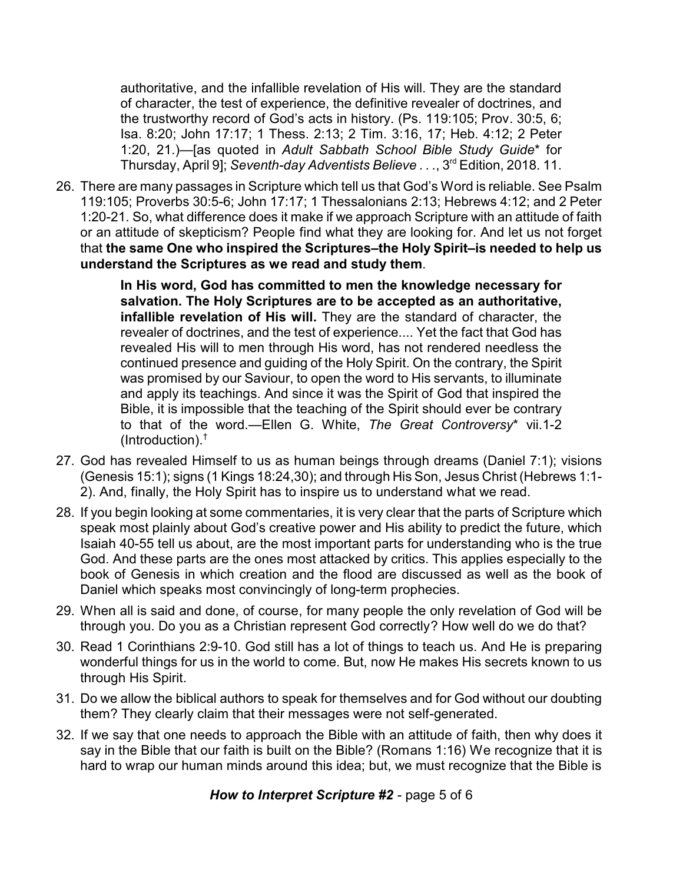authoritative, and the infallible revelation of His will. They are the standard of character, the test of experience, the definitive revealer of doctrines, and the trustworthy record of God's acts in history. (Ps. 119:105; Prov. 30:5, 6; Isa. 8:20; John 17:17; 1 Thess. 2:13; 2 Tim. 3:16, 17; Heb. 4:12; 2 Peter 1:20, 21.)—[as quoted in *Adult Sabbath School Bible Study Guide*\* for Thursday, April 9]; *Seventh-day Adventists Believe . . .*, 3 rd Edition, 2018. 11.

26. There are many passages in Scripture which tell us that God's Word is reliable. See Psalm 119:105; Proverbs 30:5-6; John 17:17; 1 Thessalonians 2:13; Hebrews 4:12; and 2 Peter 1:20-21. So, what difference does it make if we approach Scripture with an attitude of faith or an attitude of skepticism? People find what they are looking for. And let us not forget that **the same One who inspired the Scriptures–the Holy Spirit–is needed to help us understand the Scriptures as we read and study them**.

> **In His word, God has committed to men the knowledge necessary for salvation. The Holy Scriptures are to be accepted as an authoritative, infallible revelation of His will.** They are the standard of character, the revealer of doctrines, and the test of experience.... Yet the fact that God has revealed His will to men through His word, has not rendered needless the continued presence and guiding of the Holy Spirit. On the contrary, the Spirit was promised by our Saviour, to open the word to His servants, to illuminate and apply its teachings. And since it was the Spirit of God that inspired the Bible, it is impossible that the teaching of the Spirit should ever be contrary to that of the word.—Ellen G. White, *The Great Controversy*\* vii.1-2 (Introduction).†

- 27. God has revealed Himself to us as human beings through dreams (Daniel 7:1); visions (Genesis 15:1); signs (1 Kings 18:24,30); and through His Son, Jesus Christ (Hebrews 1:1- 2). And, finally, the Holy Spirit has to inspire us to understand what we read.
- 28. If you begin looking at some commentaries, it is very clear that the parts of Scripture which speak most plainly about God's creative power and His ability to predict the future, which Isaiah 40-55 tell us about, are the most important parts for understanding who is the true God. And these parts are the ones most attacked by critics. This applies especially to the book of Genesis in which creation and the flood are discussed as well as the book of Daniel which speaks most convincingly of long-term prophecies.
- 29. When all is said and done, of course, for many people the only revelation of God will be through you. Do you as a Christian represent God correctly? How well do we do that?
- 30. Read 1 Corinthians 2:9-10. God still has a lot of things to teach us. And He is preparing wonderful things for us in the world to come. But, now He makes His secrets known to us through His Spirit.
- 31. Do we allow the biblical authors to speak for themselves and for God without our doubting them? They clearly claim that their messages were not self-generated.
- 32. If we say that one needs to approach the Bible with an attitude of faith, then why does it say in the Bible that our faith is built on the Bible? (Romans 1:16) We recognize that it is hard to wrap our human minds around this idea; but, we must recognize that the Bible is